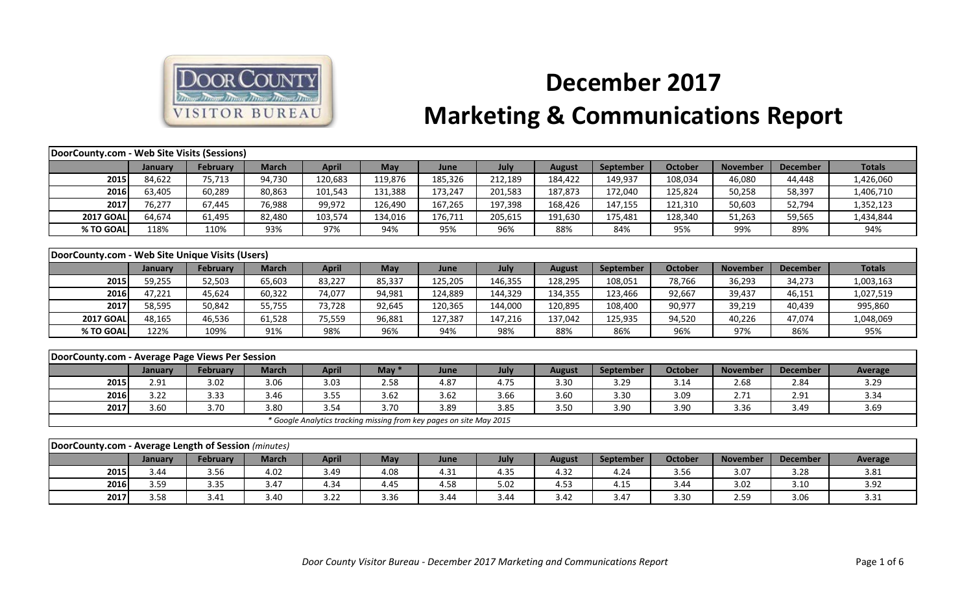

## **December 2017 Marketing & Communications Report**

| DoorCounty.com - Web Site Visits (Sessions)          |                |                 |              |              |                                                                     |         |         |               |           |                |                 |                 |                |
|------------------------------------------------------|----------------|-----------------|--------------|--------------|---------------------------------------------------------------------|---------|---------|---------------|-----------|----------------|-----------------|-----------------|----------------|
|                                                      | January        | February        | <b>March</b> | <b>April</b> | May                                                                 | June    | July    | <b>August</b> | September | <b>October</b> | <b>November</b> | <b>December</b> | <b>Totals</b>  |
| 2015                                                 | 84,622         | 75,713          | 94,730       | 120,683      | 119,876                                                             | 185,326 | 212,189 | 184,422       | 149,937   | 108,034        | 46,080          | 44,448          | 1,426,060      |
| 2016                                                 | 63,405         | 60,289          | 80,863       | 101,543      | 131,388                                                             | 173,247 | 201,583 | 187,873       | 172,040   | 125,824        | 50,258          | 58,397          | 1,406,710      |
| 2017                                                 | 76,277         | 67,445          | 76,988       | 99,972       | 126,490                                                             | 167,265 | 197,398 | 168,426       | 147,155   | 121,310        | 50,603          | 52,794          | 1,352,123      |
| <b>2017 GOAL</b>                                     | 64,674         | 61,495          | 82,480       | 103,574      | 134,016                                                             | 176,711 | 205,615 | 191,630       | 175,481   | 128,340        | 51,263          | 59,565          | 1,434,844      |
| % TO GOAL                                            | 118%           | 110%            | 93%          | 97%          | 94%                                                                 | 95%     | 96%     | 88%           | 84%       | 95%            | 99%             | 89%             | 94%            |
|                                                      |                |                 |              |              |                                                                     |         |         |               |           |                |                 |                 |                |
| DoorCounty.com - Web Site Unique Visits (Users)      |                |                 |              |              |                                                                     |         |         |               |           |                |                 |                 |                |
|                                                      | January        | <b>February</b> | <b>March</b> | <b>April</b> | May                                                                 | June    | July    | <b>August</b> | September | <b>October</b> | <b>November</b> | <b>December</b> | <b>Totals</b>  |
| 2015                                                 | 59,255         | 52,503          | 65,603       | 83,227       | 85,337                                                              | 125,205 | 146,355 | 128,295       | 108,051   | 78,766         | 36,293          | 34,273          | 1,003,163      |
| 2016                                                 | 47,221         | 45,624          | 60,322       | 74,077       | 94,981                                                              | 124,889 | 144,329 | 134,355       | 123,466   | 92,667         | 39,437          | 46,151          | 1,027,519      |
| 2017                                                 | 58,595         | 50,842          | 55,755       | 73,728       | 92,645                                                              | 120,365 | 144,000 | 120,895       | 108,400   | 90,977         | 39,219          | 40,439          | 995,860        |
| <b>2017 GOAL</b>                                     | 48.165         | 46,536          | 61,528       | 75,559       | 96,881                                                              | 127,387 | 147,216 | 137,042       | 125,935   | 94,520         | 40,226          | 47,074          | 1,048,069      |
| % TO GOAL                                            | 122%           | 109%            | 91%          | 98%          | 96%                                                                 | 94%     | 98%     | 88%           | 86%       | 96%            | 97%             | 86%             | 95%            |
|                                                      |                |                 |              |              |                                                                     |         |         |               |           |                |                 |                 |                |
| DoorCounty.com - Average Page Views Per Session      |                |                 |              |              |                                                                     |         |         |               |           |                |                 |                 |                |
|                                                      | January        | <b>February</b> | <b>March</b> | <b>April</b> | May $*$                                                             | June    | July    | <b>August</b> | September | <b>October</b> | <b>November</b> | <b>December</b> | <b>Average</b> |
| 2015                                                 | 2.91           | 3.02            | 3.06         | 3.03         | 2.58                                                                | 4.87    | 4.75    | 3.30          | 3.29      | 3.14           | 2.68            | 2.84            | 3.29           |
| 2016                                                 | 3.22           | 3.33            | 3.46         | 3.55         | 3.62                                                                | 3.62    | 3.66    | 3.60          | 3.30      | 3.09           | 2.71            | 2.91            | 3.34           |
| 2017                                                 | 3.60           | 3.70            | 3.80         | 3.54         | 3.70                                                                | 3.89    | 3.85    | 3.50          | 3.90      | 3.90           | 3.36            | 3.49            | 3.69           |
|                                                      |                |                 |              |              | * Google Analytics tracking missing from key pages on site May 2015 |         |         |               |           |                |                 |                 |                |
|                                                      |                |                 |              |              |                                                                     |         |         |               |           |                |                 |                 |                |
| DoorCounty.com - Average Length of Session (minutes) |                |                 |              |              |                                                                     |         |         |               |           |                |                 |                 |                |
|                                                      | <b>January</b> | <b>February</b> | <b>March</b> | <b>April</b> | May                                                                 | June    | July    | <b>August</b> | September | <b>October</b> | <b>November</b> | <b>December</b> | <b>Average</b> |
| 2015                                                 | 3.44           | 3.56            | 4.02         | 3.49         | 4.08                                                                | 4.31    | 4.35    | 4.32          | 4.24      | 3.56           | 3.07            | 3.28            | 3.81           |
| 2016                                                 | 3.59           | 3.35            | 3.47         | 4.34         | 4.45                                                                | 4.58    | 5.02    | 4.53          | 4.15      | 3.44           | 3.02            | 3.10            | 3.92           |
| 2017                                                 | 3.58           | 3.41            | 3.40         | 3.22         | 3.36                                                                | 3.44    | 3.44    | 3.42          | 3.47      | 3.30           | 2.59            | 3.06            | 3.31           |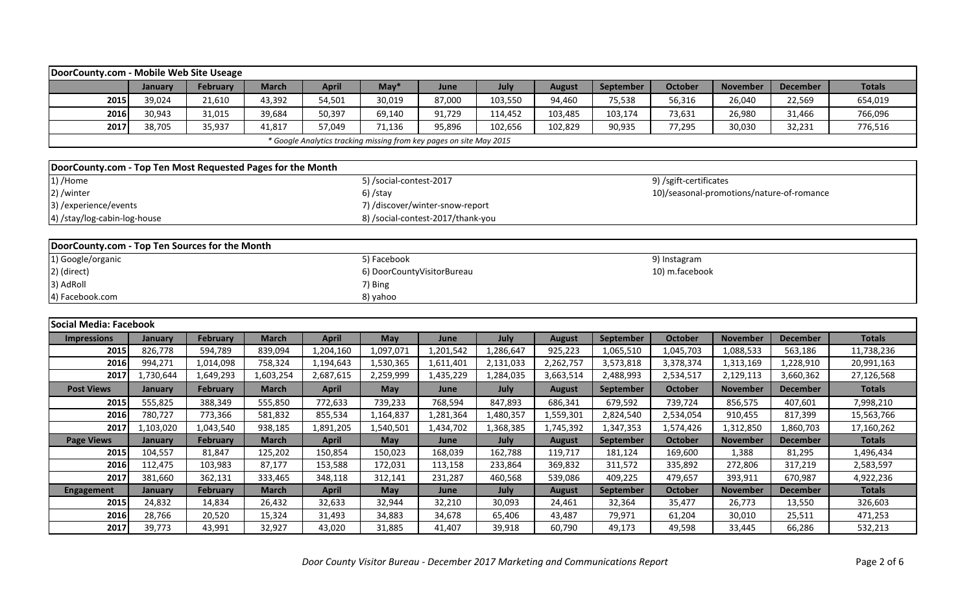| DoorCounty.com - Mobile Web Site Useage                     |           |                 |              |              |                         |                                                                     |           |               |                  |                                           |                 |                 |               |
|-------------------------------------------------------------|-----------|-----------------|--------------|--------------|-------------------------|---------------------------------------------------------------------|-----------|---------------|------------------|-------------------------------------------|-----------------|-----------------|---------------|
|                                                             | January   | February        | <b>March</b> | <b>April</b> | $May*$                  | June                                                                | July      | <b>August</b> | September        | <b>October</b>                            | <b>November</b> | <b>December</b> | <b>Totals</b> |
| 2015                                                        | 39,024    | 21,610          | 43,392       | 54,501       | 30,019                  | 87,000                                                              | 103,550   | 94,460        | 75,538           | 56,316                                    | 26,040          | 22,569          | 654,019       |
| 2016                                                        | 30,943    | 31,015          | 39,684       | 50,397       | 69,140                  | 91,729                                                              | 114,452   | 103,485       | 103,174          | 73,631                                    | 26,980          | 31,466          | 766,096       |
| 2017                                                        | 38,705    | 35,937          | 41,817       | 57,049       | 71,136                  | 95,896                                                              | 102,656   | 102,829       | 90,935           | 77,295                                    | 30,030          | 32,231          | 776,516       |
|                                                             |           |                 |              |              |                         | * Google Analytics tracking missing from key pages on site May 2015 |           |               |                  |                                           |                 |                 |               |
|                                                             |           |                 |              |              |                         |                                                                     |           |               |                  |                                           |                 |                 |               |
| DoorCounty.com - Top Ten Most Requested Pages for the Month |           |                 |              |              |                         |                                                                     |           |               |                  |                                           |                 |                 |               |
| 1) /Home                                                    |           |                 |              |              | 5) /social-contest-2017 |                                                                     |           |               |                  | 9) /sgift-certificates                    |                 |                 |               |
| 2) /winter                                                  |           |                 |              |              | $6)$ /stay              |                                                                     |           |               |                  | 10)/seasonal-promotions/nature-of-romance |                 |                 |               |
| 3) /experience/events                                       |           |                 |              |              |                         | 7) /discover/winter-snow-report                                     |           |               |                  |                                           |                 |                 |               |
| 4) /stay/log-cabin-log-house                                |           |                 |              |              |                         | 8) /social-contest-2017/thank-you                                   |           |               |                  |                                           |                 |                 |               |
|                                                             |           |                 |              |              |                         |                                                                     |           |               |                  |                                           |                 |                 |               |
| DoorCounty.com - Top Ten Sources for the Month              |           |                 |              |              |                         |                                                                     |           |               |                  |                                           |                 |                 |               |
| 1) Google/organic                                           |           |                 |              |              | 5) Facebook             |                                                                     |           |               |                  | 9) Instagram                              |                 |                 |               |
| 2) (direct)                                                 |           |                 |              |              |                         | 6) DoorCountyVisitorBureau                                          |           |               |                  | 10) m.facebook                            |                 |                 |               |
| 3) AdRoll                                                   |           |                 |              |              | 7) Bing                 |                                                                     |           |               |                  |                                           |                 |                 |               |
| 4) Facebook.com                                             |           |                 |              |              | 8) yahoo                |                                                                     |           |               |                  |                                           |                 |                 |               |
|                                                             |           |                 |              |              |                         |                                                                     |           |               |                  |                                           |                 |                 |               |
| Social Media: Facebook                                      |           |                 |              |              |                         |                                                                     |           |               |                  |                                           |                 |                 |               |
| <b>Impressions</b>                                          | January   | February        | <b>March</b> | <b>April</b> | May                     | June                                                                | July      | <b>August</b> | September        | <b>October</b>                            | <b>November</b> | <b>December</b> | <b>Totals</b> |
| 2015                                                        | 826,778   | 594,789         | 839,094      | 1,204,160    | 1,097,071               | 1,201,542                                                           | 1,286,647 | 925,223       | 1,065,510        | 1,045,703                                 | 1,088,533       | 563,186         | 11,738,236    |
| 2016                                                        | 994,271   | 1,014,098       | 758,324      | 1,194,643    | 1,530,365               | 1,611,401                                                           | 2,131,033 | 2,262,757     | 3,573,818        | 3,378,374                                 | 1,313,169       | 1,228,910       | 20,991,163    |
| 2017                                                        | 1,730,644 | 1,649,293       | 1,603,254    | 2,687,615    | 2,259,999               | 1,435,229                                                           | 1,284,035 | 3,663,514     | 2,488,993        | 2,534,517                                 | 2,129,113       | 3,660,362       | 27,126,568    |
| <b>Post Views</b>                                           | January   | February        | <b>March</b> | <b>April</b> | May                     | June                                                                | July      | <b>August</b> | September        | <b>October</b>                            | <b>November</b> | <b>December</b> | <b>Totals</b> |
| 2015                                                        | 555,825   | 388,349         | 555,850      | 772,633      | 739,233                 | 768,594                                                             | 847,893   | 686,341       | 679,592          | 739,724                                   | 856,575         | 407,601         | 7,998,210     |
| 2016                                                        | 780,727   | 773,366         | 581,832      | 855,534      | 1,164,837               | 1,281,364                                                           | 1,480,357 | 1,559,301     | 2,824,540        | 2,534,054                                 | 910,455         | 817,399         | 15,563,766    |
| 2017                                                        | 1,103,020 | 1,043,540       | 938,185      | 1,891,205    | 1,540,501               | 1,434,702                                                           | 1,368,385 | 1,745,392     | 1,347,353        | 1,574,426                                 | 1,312,850       | 1,860,703       | 17,160,262    |
| <b>Page Views</b>                                           | January   | <b>February</b> | <b>March</b> | <b>April</b> | May                     | June                                                                | July      | <b>August</b> | <b>September</b> | <b>October</b>                            | <b>November</b> | <b>December</b> | <b>Totals</b> |
| 2015                                                        | 104,557   | 81,847          | 125,202      | 150,854      | 150,023                 | 168,039                                                             | 162,788   | 119,717       | 181,124          | 169,600                                   | 1,388           | 81,295          | 1,496,434     |
| 2016                                                        | 112,475   | 103,983         | 87,177       | 153,588      | 172,031                 | 113,158                                                             | 233,864   | 369,832       | 311,572          | 335,892                                   | 272,806         | 317,219         | 2,583,597     |
| 2017                                                        | 381,660   | 362,131         | 333,465      | 348,118      | 312,141                 | 231,287                                                             | 460,568   | 539,086       | 409,225          | 479,657                                   | 393,911         | 670,987         | 4,922,236     |
| <b>Engagement</b>                                           | January   | <b>February</b> | <b>March</b> | <b>April</b> | May                     | June                                                                | July      | <b>August</b> | September        | <b>October</b>                            | <b>November</b> | <b>December</b> | <b>Totals</b> |
| 2015                                                        | 24,832    | 14,834          | 26,432       | 32,633       | 32,944                  | 32,210                                                              | 30,093    | 24,461        | 32,364           | 35,477                                    | 26,773          | 13,550          | 326,603       |
| 2016                                                        | 28,766    | 20,520          | 15,324       | 31,493       | 34,883                  | 34,678                                                              | 65,406    | 43,487        | 79,971           | 61,204                                    | 30,010          | 25,511          | 471,253       |
| 2017                                                        | 39,773    | 43,991          | 32,927       | 43,020       | 31,885                  | 41,407                                                              | 39,918    | 60,790        | 49,173           | 49,598                                    | 33,445          | 66,286          | 532,213       |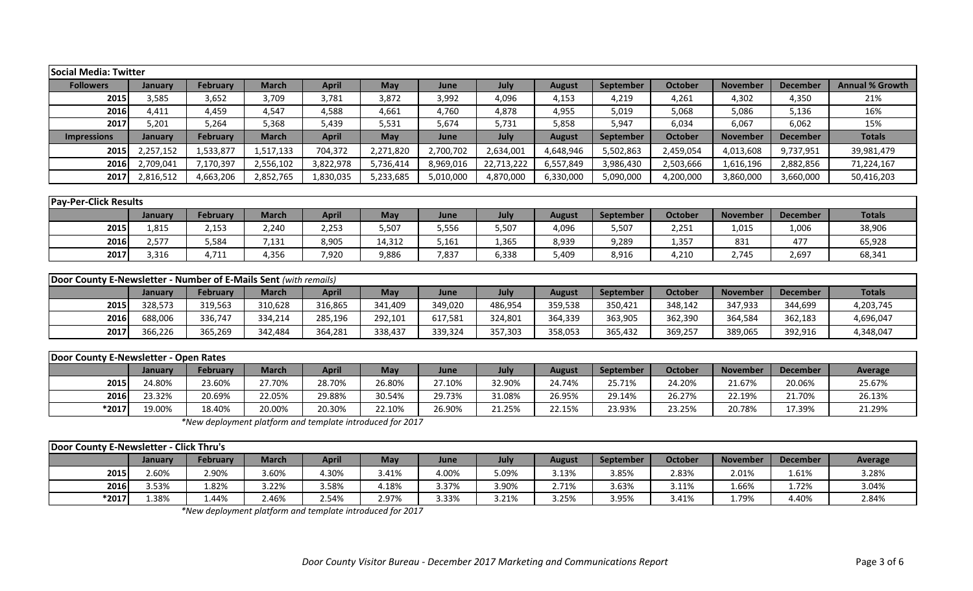| <b>Social Media: Twitter</b>                                            |           |                 |              |              |            |           |            |               |           |                |                 |                 |                        |
|-------------------------------------------------------------------------|-----------|-----------------|--------------|--------------|------------|-----------|------------|---------------|-----------|----------------|-----------------|-----------------|------------------------|
| <b>Followers</b>                                                        | January   | February        | <b>March</b> | <b>April</b> | May        | June      | July       | <b>August</b> | September | <b>October</b> | <b>November</b> | <b>December</b> | <b>Annual % Growth</b> |
| 2015                                                                    | 3,585     | 3,652           | 3,709        | 3,781        | 3,872      | 3,992     | 4,096      | 4,153         | 4,219     | 4,261          | 4,302           | 4,350           | 21%                    |
| 2016                                                                    | 4,411     | 4,459           | 4,547        | 4,588        | 4,661      | 4,760     | 4,878      | 4,955         | 5,019     | 5,068          | 5,086           | 5,136           | 16%                    |
| 2017                                                                    | 5,201     | 5,264           | 5,368        | 5,439        | 5,531      | 5,674     | 5,731      | 5,858         | 5,947     | 6,034          | 6,067           | 6,062           | 15%                    |
| <b>Impressions</b>                                                      | January   | <b>February</b> | <b>March</b> | <b>April</b> | <b>May</b> | June      | July       | <b>August</b> | September | <b>October</b> | <b>November</b> | <b>December</b> | <b>Totals</b>          |
| 2015                                                                    | 2,257,152 | 1,533,877       | 1,517,133    | 704,372      | 2,271,820  | 2,700,702 | 2,634,001  | 4,648,946     | 5,502,863 | 2,459,054      | 4,013,608       | 9,737,951       | 39,981,479             |
| 2016                                                                    | 2,709,041 | 7,170,397       | 2,556,102    | 3,822,978    | 5,736,414  | 8,969,016 | 22,713,222 | 6,557,849     | 3,986,430 | 2,503,666      | 1,616,196       | 2,882,856       | 71,224,167             |
| 2017                                                                    | 2,816,512 | 4,663,206       | 2,852,765    | 1,830,035    | 5,233,685  | 5,010,000 | 4,870,000  | 6,330,000     | 5,090,000 | 4,200,000      | 3,860,000       | 3,660,000       | 50,416,203             |
|                                                                         |           |                 |              |              |            |           |            |               |           |                |                 |                 |                        |
| <b>Pay-Per-Click Results</b>                                            |           |                 |              |              |            |           |            |               |           |                |                 |                 |                        |
|                                                                         | January   | <b>February</b> | <b>March</b> | <b>April</b> | May        | June      | July       | <b>August</b> | September | <b>October</b> | <b>November</b> | <b>December</b> | <b>Totals</b>          |
| 2015                                                                    | 1,815     | 2,153           | 2,240        | 2,253        | 5,507      | 5,556     | 5,507      | 4,096         | 5,507     | 2,251          | 1,015           | 1,006           | 38,906                 |
| 2016                                                                    | 2,577     | 5,584           | 7,131        | 8,905        | 14,312     | 5,161     | 1,365      | 8,939         | 9,289     | 1,357          | 831             | 477             | 65,928                 |
| 2017                                                                    | 3,316     | 4,711           | 4,356        | 7,920        | 9,886      | 7,837     | 6,338      | 5,409         | 8,916     | 4,210          | 2,745           | 2,697           | 68,341                 |
|                                                                         |           |                 |              |              |            |           |            |               |           |                |                 |                 |                        |
| <b>Door County E-Newsletter - Number of E-Mails Sent (with remails)</b> |           |                 |              |              |            |           |            |               |           |                |                 |                 |                        |
|                                                                         | January   | <b>February</b> | <b>March</b> | <b>April</b> | May        | June      | July       | <b>August</b> | September | <b>October</b> | <b>November</b> | <b>December</b> | <b>Totals</b>          |
| 2015                                                                    | 328,573   | 319,563         | 310,628      | 316,865      | 341,409    | 349,020   | 486,954    | 359,538       | 350,421   | 348,142        | 347,933         | 344,699         | 4,203,745              |
| 2016                                                                    | 688,006   | 336,747         | 334,214      | 285,196      | 292,101    | 617,581   | 324,801    | 364,339       | 363,905   | 362,390        | 364,584         | 362,183         | 4,696,047              |
| 2017                                                                    | 366,226   | 365,269         | 342,484      | 364,281      | 338,437    | 339,324   | 357,303    | 358,053       | 365,432   | 369,257        | 389,065         | 392,916         | 4,348,047              |
|                                                                         |           |                 |              |              |            |           |            |               |           |                |                 |                 |                        |
| Door County E-Newsletter - Open Rates                                   |           |                 |              |              |            |           |            |               |           |                |                 |                 |                        |
|                                                                         | January   | <b>February</b> | <b>March</b> | <b>April</b> | May        | June      | July       | <b>August</b> | September | <b>October</b> | <b>November</b> | <b>December</b> | <b>Average</b>         |
| 2015                                                                    | 24.80%    | 23.60%          | 27.70%       | 28.70%       | 26.80%     | 27.10%    | 32.90%     | 24.74%        | 25.71%    | 24.20%         | 21.67%          | 20.06%          | 25.67%                 |
| 2016                                                                    | 23.32%    | 20.69%          | 22.05%       | 29.88%       | 30.54%     | 29.73%    | 31.08%     | 26.95%        | 29.14%    | 26.27%         | 22.19%          | 21.70%          | 26.13%                 |

*\*New deployment platform and template introduced for 2017*

| Door County E-Newsletter - Click Thru's |                |          |              |              |            |       |       |        |           |         |                 |                 |         |
|-----------------------------------------|----------------|----------|--------------|--------------|------------|-------|-------|--------|-----------|---------|-----------------|-----------------|---------|
|                                         | <b>January</b> | February | <b>March</b> | <b>April</b> | <b>May</b> | June  | July  | August | September | October | <b>November</b> | <b>December</b> | Average |
| 2015                                    | .60%           | 2.90%    | 3.60%        | 1.30%        | 3.41%      | 4.00% | 09%.د | 3.13%  | 3.85%     | 2.83%   | 2.01%           | 1.61%           | 3.28%   |
| 2016                                    | $.53\%$        | L.82%    | 3.22%        | .58%         | 1.18%      | 3.37% | 3.90% | 2.71%  | 3.63%     | 3.11%   | 1.66%           | 1.72%           | 3.04%   |
| $*2017$                                 | .38%           | 1.44%    | 2.46%        | 2.54%        | 2.97%      | 3.33% | 3.21% | 3.25%  | 3.95%     | 3.41%   | 1.79%           | 4.40%           | 2.84%   |

**\*2017** 19.00% 18.40% 20.00% 20.30% 22.10% 26.90% 21.25% 22.15% 23.93% 23.25% 20.78% 17.39% 21.29%

*\*New deployment platform and template introduced for 2017*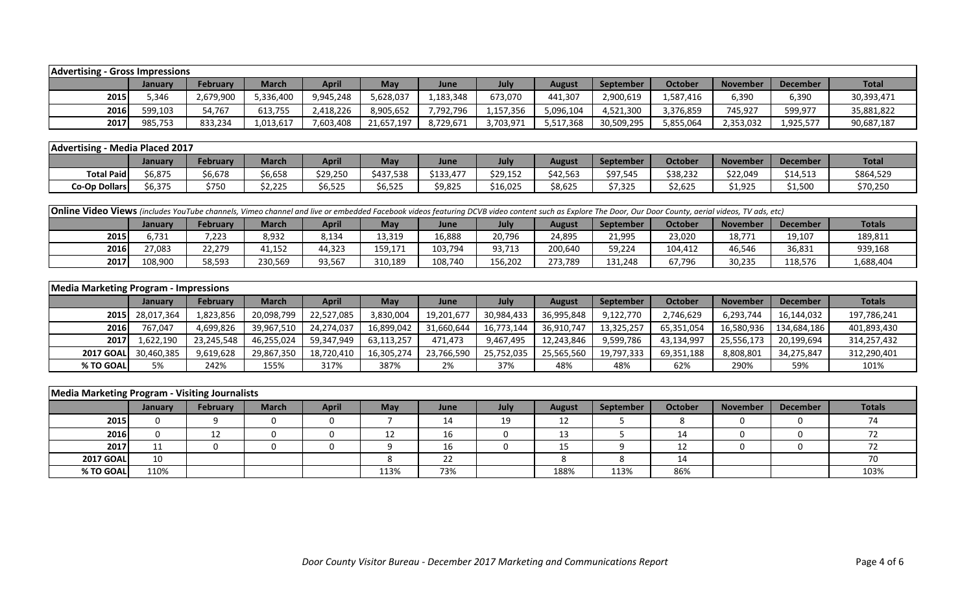| <b>Advertising - Gross Impressions</b> |         |           |           |              |            |             |           |           |            |           |                 |                 |              |
|----------------------------------------|---------|-----------|-----------|--------------|------------|-------------|-----------|-----------|------------|-----------|-----------------|-----------------|--------------|
|                                        | Januarv | February  | March     | <b>April</b> | <b>May</b> | <b>June</b> | July      | August    | September  | October   | <b>November</b> | <b>December</b> | <b>Total</b> |
| 2015                                   | 5.346   | 2,679,900 | 5,336,400 | 9,945,248    | 5,628,037  | 1,183,348   | 673,070   | 441,307   | 2,900,619  | .,587,416 | 6,390           | 6,390           | 30,393,471   |
| 2016                                   | 599,103 | 54,767    | 613,755   | 2,418,226    | 8,905,652  | 7,792,796   | 1,157,356 | 096,104.  | 4,521,300  | 3,376,859 | 745,927         | 599,977         | 35,881,822   |
| 2017                                   | 985,753 | 833,234   | 1,013,617 | 7,603,408    | 21,657,197 | 8,729,671   | 3,703,971 | 5,517,368 | 30,509,295 | 5,855,064 | 2,353,032       | 1,925,577       | 90,687,187   |

| <b>Advertising</b>   | - Media Placed 2017 |          |                                |              |           |           |          |          |                  |                |                 |                 |              |
|----------------------|---------------------|----------|--------------------------------|--------------|-----------|-----------|----------|----------|------------------|----------------|-----------------|-----------------|--------------|
|                      | January             | February | <b>March</b>                   | <b>April</b> | May       | June      | July     | August   | <b>September</b> | <b>October</b> | <b>November</b> | <b>December</b> | <b>Total</b> |
| <b>Total Paid</b>    | 6,875د              | 6,678،   | $\sim$ $\sim$ $\sim$<br>ახ,ხ58 | \$29,250     | \$437,538 | \$133,477 | \$29,152 | \$42,563 | \$97,545         | 38,232         | \$22,049        | \$14,513        | \$864,529    |
| <b>Co-Op Dollars</b> | 6,375م              | \$750    | 2,225                          | 6,525م       | 6,525خ    | 9,825خ    | \$16,025 | 8,625;   | 07.QQC<br>7,325  | \$2,625        | \$1,925         | \$1,500         | \$70,250     |

|                                                                                                                                                                     | <b>Online Video Views</b> (includes YouTube channels, Vimeo channel and live or embedded Facebook videos featuring DCVB video content such as Explore The Door, Our Door County, aerial videos, TV ads, etc) |        |         |        |         |         |         |         |         |         |        |         |           |  |
|---------------------------------------------------------------------------------------------------------------------------------------------------------------------|--------------------------------------------------------------------------------------------------------------------------------------------------------------------------------------------------------------|--------|---------|--------|---------|---------|---------|---------|---------|---------|--------|---------|-----------|--|
| April<br><b>Totals</b><br>October<br>February<br>Mav<br><b>March</b><br><b>September</b><br>July<br>November<br><b>December</b><br><b>June</b><br>August<br>January |                                                                                                                                                                                                              |        |         |        |         |         |         |         |         |         |        |         |           |  |
| 2015                                                                                                                                                                | 6,731                                                                                                                                                                                                        | 7,223  | 8,932   | 8,134  | 13,319  | 16,888  | 20,796  | 24,895  | 21,995  | 23,020  | 18,771 | 19,107  | 189,811   |  |
| 2016                                                                                                                                                                | 27,083                                                                                                                                                                                                       | 22,279 | 41,152  | 44,323 | 159,171 | 103,794 | 93,713  | 200,640 | 59,224  | 104.412 | 46,546 | 36,831  | 939,168   |  |
| 2017                                                                                                                                                                | 108,900                                                                                                                                                                                                      | 58,593 | 230,569 | 93,567 | 310,189 | 108,740 | 156,202 | 273,789 | 131,248 | 67,796  | 30,235 | 118,576 | 1,688,404 |  |

| <b>Media Marketing Program - Impressions</b> |                 |            |              |            | <b>April</b><br>October<br>May<br>July<br><b>December</b><br><b>September</b><br>June<br><b>November</b><br><b>August</b><br>3,830,004<br>36.995.848<br>9,122,770<br>2,746,629<br>6.293.744<br>19,201,677<br>30,984,433<br>16,144,032<br>16,580,936<br>16,899,042<br>31,660,644<br>36,910,747<br>13,325,257<br>65,351,054<br>134,684,186<br>16,773,144<br>9,467,495<br>9,599,786<br>12,243,846<br>20,199,694<br>63,113,257<br>471.473<br>43,134,997<br>25,556,173<br>34,275,847<br>23,766,590<br>25,752,035<br>25,565,560<br>8,808,801<br>16,305,274<br>19,797,333<br>69,351,188 |    |     |     |     |     |      |     |             |  |  |
|----------------------------------------------|-----------------|------------|--------------|------------|----------------------------------------------------------------------------------------------------------------------------------------------------------------------------------------------------------------------------------------------------------------------------------------------------------------------------------------------------------------------------------------------------------------------------------------------------------------------------------------------------------------------------------------------------------------------------------|----|-----|-----|-----|-----|------|-----|-------------|--|--|
|                                              | January         | February   | <b>March</b> |            |                                                                                                                                                                                                                                                                                                                                                                                                                                                                                                                                                                                  |    |     |     |     |     |      |     | Totals      |  |  |
|                                              | 2015 28,017,364 | 1,823,856  | 20,098,799   | 22.527.085 |                                                                                                                                                                                                                                                                                                                                                                                                                                                                                                                                                                                  |    |     |     |     |     |      |     | 197,786,241 |  |  |
| 2016                                         | 767.047         | 4,699,826  | 39,967,510   | 24,274,037 |                                                                                                                                                                                                                                                                                                                                                                                                                                                                                                                                                                                  |    |     |     |     |     |      |     | 401,893,430 |  |  |
| <b>2017</b>                                  | 1,622,190       | 23,245,548 | 46,255,024   | 59,347,949 |                                                                                                                                                                                                                                                                                                                                                                                                                                                                                                                                                                                  |    |     |     |     |     |      |     | 314,257,432 |  |  |
| <b>2017 GOAL</b>                             | 30,460,385      | 9,619,628  | 29,867,350   | 18,720,410 |                                                                                                                                                                                                                                                                                                                                                                                                                                                                                                                                                                                  |    |     |     |     |     |      |     | 312,290,401 |  |  |
| % TO GOAL                                    | 5%              | 242%       | 155%         | 317%       | 387%                                                                                                                                                                                                                                                                                                                                                                                                                                                                                                                                                                             | 2% | 37% | 48% | 48% | 62% | 290% | 59% | 101%        |  |  |

| Media Marketing Program - Visiting Journalists |                |                 |       |              |            |      |      |               |           |                |                 |          |               |
|------------------------------------------------|----------------|-----------------|-------|--------------|------------|------|------|---------------|-----------|----------------|-----------------|----------|---------------|
|                                                | <b>January</b> | <b>February</b> | March | <b>April</b> | <b>May</b> | June | July | <b>August</b> | September | <b>October</b> | <b>November</b> | December | <b>Totals</b> |
| 2015                                           |                |                 |       |              |            | 14   | 19   | 12            |           |                |                 |          |               |
| 2016                                           |                | ᅩ               |       |              | ᅩᄼ         | 16   |      | 13            |           | 14             |                 |          |               |
| 2017                                           | 11             |                 |       |              |            | 16   |      | ᅩ             |           | ∸              |                 |          |               |
| <b>2017 GOAL</b>                               | 10             |                 |       |              |            | 22   |      |               |           | 14             |                 |          |               |
| % TO GOAL                                      | 110%           |                 |       |              | 113%       | 73%  |      | 188%          | 113%      | 86%            |                 |          | 103%          |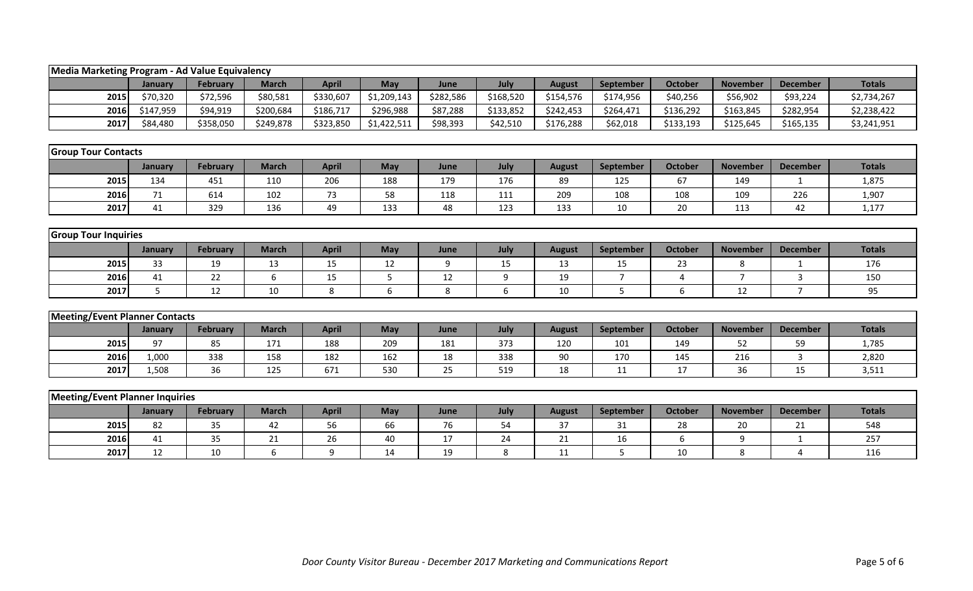| Media Marketing Program - Ad Value Equivalency |           |                 |              |              |             |           |                  |               |                |                |                 |                 |               |
|------------------------------------------------|-----------|-----------------|--------------|--------------|-------------|-----------|------------------|---------------|----------------|----------------|-----------------|-----------------|---------------|
|                                                | January   | February        | <b>March</b> | <b>April</b> | May         | June      | July             | <b>August</b> | September      | <b>October</b> | <b>November</b> | <b>December</b> | <b>Totals</b> |
| 2015                                           | \$70,320  | \$72,596        | \$80,581     | \$330,607    | \$1,209,143 | \$282,586 | \$168,520        | \$154,576     | \$174,956      | \$40,256       | \$56,902        | \$93,224        | \$2,734,267   |
| 2016                                           | \$147,959 | \$94,919        | \$200,684    | \$186,717    | \$296,988   | \$87,288  | \$133,852        | \$242,453     | \$264,471      | \$136,292      | \$163,845       | \$282,954       | \$2,238,422   |
| 2017                                           | \$84,480  | \$358,050       | \$249,878    | \$323,850    | \$1,422,511 | \$98,393  | \$42,510         | \$176,288     | \$62,018       | \$133,193      | \$125,645       | \$165,135       | \$3,241,951   |
|                                                |           |                 |              |              |             |           |                  |               |                |                |                 |                 |               |
| <b>Group Tour Contacts</b>                     |           |                 |              |              |             |           |                  |               |                |                |                 |                 |               |
|                                                | January   | <b>February</b> | <b>March</b> | <b>April</b> | May         | June      | July             | <b>August</b> | September      | <b>October</b> | <b>November</b> | <b>December</b> | <b>Totals</b> |
| 2015                                           | 134       | 451             | 110          | 206          | 188         | 179       | 176              | 89            | 125            | 67             | 149             | $\mathbf{1}$    | 1,875         |
| 2016                                           | 71        | 614             | 102          | 73           | 58          | 118       | 111              | 209           | 108            | 108            | 109             | 226             | 1,907         |
| 2017                                           | 41        | 329             | 136          | 49           | 133         | 48        | 123              | 133           | 10             | 20             | 113             | 42              | 1,177         |
|                                                |           |                 |              |              |             |           |                  |               |                |                |                 |                 |               |
| <b>Group Tour Inquiries</b>                    |           |                 |              |              |             |           |                  |               |                |                |                 |                 |               |
|                                                | January   | February        | <b>March</b> | <b>April</b> | May         | June      | July             | <b>August</b> | September      | <b>October</b> | <b>November</b> | <b>December</b> | <b>Totals</b> |
| 2015                                           | 33        | 19              | 13           | 15           | 12          | 9         | 15               | 13            | 15             | 23             | 8               | 1               | 176           |
| 2016                                           | 41        | 22              | 6            | 15           | 5           | 12        | $\boldsymbol{9}$ | 19            | $\overline{7}$ | 4              | $\overline{7}$  | $\overline{3}$  | 150           |
| 2017                                           | 5         | 12              | 10           | 8            | 6           | 8         | 6                | 10            | 5              | 6              | 12              | $\overline{7}$  | 95            |
|                                                |           |                 |              |              |             |           |                  |               |                |                |                 |                 |               |
| <b>Meeting/Event Planner Contacts</b>          |           |                 |              |              |             |           |                  |               |                |                |                 |                 |               |
|                                                | January   | February        | <b>March</b> | <b>April</b> | May         | June      | July             | <b>August</b> | September      | <b>October</b> | <b>November</b> | <b>December</b> | <b>Totals</b> |
| 2015                                           | 97        | 85              | 171          | 188          | 209         | 181       | 373              | 120           | 101            | 149            | 52              | 59              | 1,785         |
| 2016                                           | 1,000     | 338             | 158          | 182          | 162         | 18        | 338              | 90            | 170            | 145            | 216             | $\mathbf{3}$    | 2,820         |
| 2017                                           | 1,508     | 36              | 125          | 671          | 530         | 25        | 519              | 18            | 11             | 17             | 36              | 15              | 3,511         |
|                                                |           |                 |              |              |             |           |                  |               |                |                |                 |                 |               |
| <b>Meeting/Event Planner Inquiries</b>         |           |                 |              |              |             |           |                  |               |                |                |                 |                 |               |
|                                                | January   | <b>February</b> | <b>March</b> | <b>April</b> | May         | June      | July             | <b>August</b> | September      | <b>October</b> | <b>November</b> | <b>December</b> | <b>Totals</b> |
| 2015                                           | 82        | 35              | 42           | 56           | 66          | 76        | 54               | 37            | 31             | 28             | 20              | 21              | 548           |
| 2016                                           | 41        | 35              | 21           | 26           | 40          | 17        | 24               | 21            | 16             | 6              | 9               | $\mathbf{1}$    | 257           |
| 2017                                           | 12        | 10              | 6            | 9            | 14          | 19        | 8                | 11            | 5              | 10             | 8               | 4               | 116           |